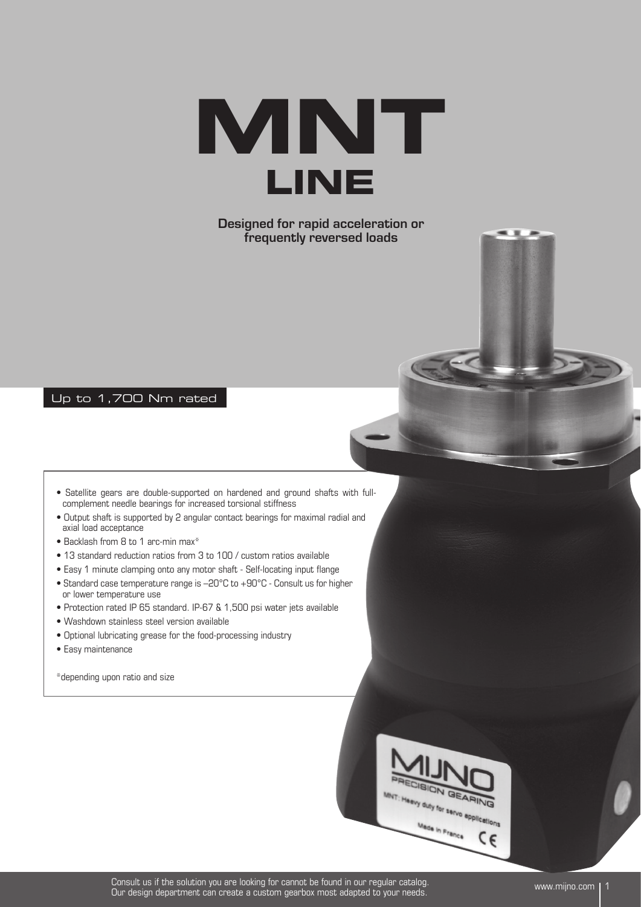**MNT line**

# **Designed for rapid acceleration or frequently reversed loads**

### Up to 1,700 Nm rated

- Satellite gears are double-supported on hardened and ground shafts with fullcomplement needle bearings for increased torsional stiffness
- Output shaft is supported by 2 angular contact bearings for maximal radial and axial load acceptance
- Backlash from 8 to 1 arc-min max\*
- 13 standard reduction ratios from 3 to 100 / custom ratios available
- Easy 1 minute clamping onto any motor shaft Self-locating input flange
- Standard case temperature range is –20°C to +90°C Consult us for higher or lower temperature use
- Protection rated IP 65 standard. IP-67 & 1,500 psi water jets available
- Washdown stainless steel version available
- Optional lubricating grease for the food-processing industry
- Easy maintenance

\*depending upon ratio and size



c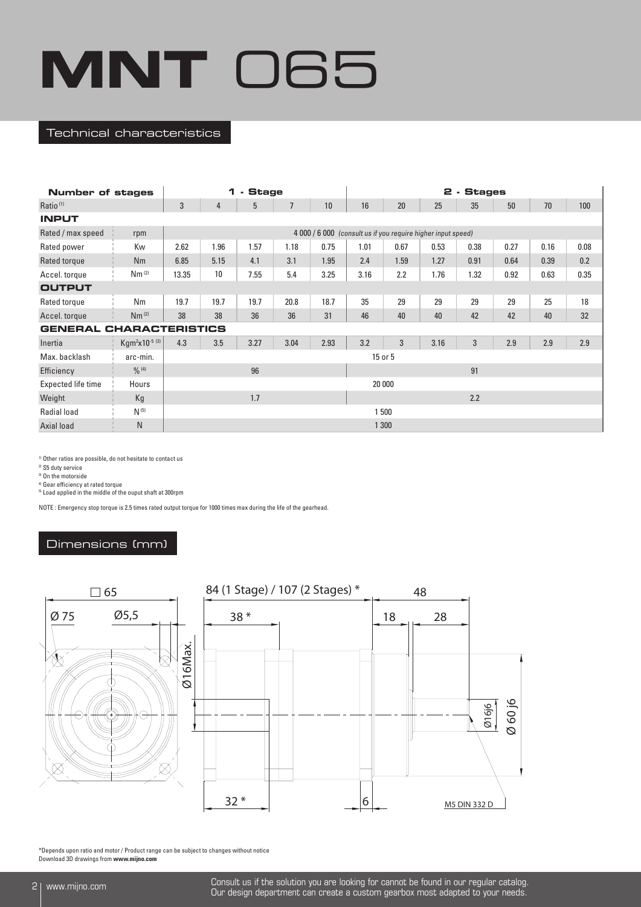#### Technical characteristics

| <b>Number of stages</b>        |                            |       | 1    | - Stage |                |      | 2 - Stages                                                   |         |      |      |      |      |      |  |  |
|--------------------------------|----------------------------|-------|------|---------|----------------|------|--------------------------------------------------------------|---------|------|------|------|------|------|--|--|
| Ratio <sup>(1)</sup>           |                            | 3     | 4    | 5       | $\overline{7}$ | 10   | 16                                                           | 20      | 25   | 35   | 50   | 70   | 100  |  |  |
| <b>INPUT</b>                   |                            |       |      |         |                |      |                                                              |         |      |      |      |      |      |  |  |
| Rated / max speed              | rpm                        |       |      |         |                |      | 4 000 / 6 000 (consult us if you require higher input speed) |         |      |      |      |      |      |  |  |
| Rated power                    | Kw                         | 2.62  | 1.96 | 1.57    | 1.18           | 0.75 | 1.01                                                         | 0.67    | 0.53 | 0.38 | 0.27 | 0.16 | 0.08 |  |  |
| Rated torque                   | Nm                         | 6.85  | 5.15 | 4.1     | 3.1            | 1.95 | 2.4                                                          | 1.59    | 1.27 | 0.91 | 0.64 | 0.39 | 0.2  |  |  |
| Accel. torque                  | Nm <sup>(2)</sup>          | 13.35 | 10   | 7.55    | 5.4            | 3.25 | 3.16                                                         | 2.2     | 1.76 | 1.32 | 0.92 | 0.63 | 0.35 |  |  |
| <b>OUTPUT</b>                  |                            |       |      |         |                |      |                                                              |         |      |      |      |      |      |  |  |
| Rated torque                   | Nm                         | 19.7  | 19.7 | 19.7    | 20.8           | 18.7 | 35                                                           | 29      | 29   | 29   | 29   | 25   | 18   |  |  |
| Accel. torque                  | Nm <sup>(2)</sup>          | 38    | 38   | 36      | 36             | 31   | 46                                                           | 40      | 40   | 42   | 42   | 40   | 32   |  |  |
| <b>GENERAL CHARACTERISTICS</b> |                            |       |      |         |                |      |                                                              |         |      |      |      |      |      |  |  |
| Inertia                        | Kgm <sup>2</sup> x10-5 (3) | 4.3   | 3.5  | 3.27    | 3.04           | 2.93 | 3.2                                                          | 3       | 3.16 | 3    | 2.9  | 2.9  | 2.9  |  |  |
| Max. backlash                  | arc-min.                   |       |      |         |                |      |                                                              | 15 or 5 |      |      |      |      |      |  |  |
| Efficiency                     | $0/0$ (4)                  |       |      | 96      |                |      |                                                              |         |      | 91   |      |      |      |  |  |
| Expected life time             | Hours                      |       |      |         |                |      |                                                              | 20 000  |      |      |      |      |      |  |  |
| Weight                         | Kg                         |       |      | 1.7     |                |      |                                                              |         |      | 2.2  |      |      |      |  |  |
| Radial load                    | $N^{(5)}$                  |       |      |         |                |      |                                                              | 1 500   |      |      |      |      |      |  |  |
| Axial load                     | N                          |       |      |         |                |      |                                                              | 1 300   |      |      |      |      |      |  |  |

1) Other ratios are possible, do not hesitate to contact us

2) S5 duty service

3) On the motorside

4) Gear efficiency at rated torque

5) Load applied in the middle of the ouput shaft at 300rpm

NOTE : Emergency stop torque is 2.5 times rated output torque for 1000 times max during the life of the gearhead.

# Dimensions (mm)



\*Depends upon ratio and motor / Product range can be subject to changes without notice Download 3D drawings from **www.mijno.com**

2 www.mijno.com Consult us if the solution you are looking for cannot be found in our regular catalog. Our design department can create a custom gearbox most adapted to your needs.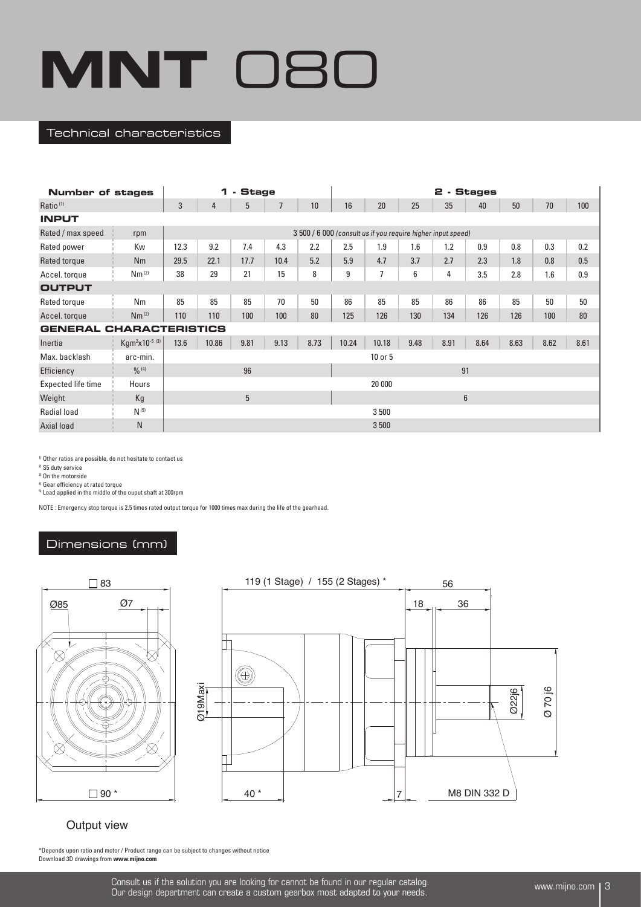#### Technical characteristics

| <b>Number of stages</b> |                            |      | 1     | <b>Stage</b><br>$\blacksquare$ |                |      | 2 - Stages |                                                              |      |                |      |      |      |      |
|-------------------------|----------------------------|------|-------|--------------------------------|----------------|------|------------|--------------------------------------------------------------|------|----------------|------|------|------|------|
| Ratio <sup>(1)</sup>    |                            | 3    | 4     | 5                              | $\overline{7}$ | 10   | 16         | 20                                                           | 25   | 35             | 40   | 50   | 70   | 100  |
| <b>INPUT</b>            |                            |      |       |                                |                |      |            |                                                              |      |                |      |      |      |      |
| Rated / max speed       | rpm                        |      |       |                                |                |      |            | 3 500 / 6 000 (consult us if you require higher input speed) |      |                |      |      |      |      |
| Rated power             | Kw                         | 12.3 | 9.2   | 7.4                            | 4.3            | 2.2  | 2.5        | 1.9                                                          | 1.6  | 1.2            | 0.9  | 0.8  | 0.3  | 0.2  |
| Rated torque            | Nm                         | 29.5 | 22.1  | 17.7                           | 10.4           | 5.2  | 5.9        | 4.7                                                          | 3.7  | 2.7            | 2.3  | 1.8  | 0.8  | 0.5  |
| Accel. torque           | Nm <sup>(2)</sup>          | 38   | 29    | 21                             | 15             | 8    | 9          | $\overline{7}$                                               | 6    | 4              | 3.5  | 2.8  | 1.6  | 0.9  |
| <b>OUTPUT</b>           |                            |      |       |                                |                |      |            |                                                              |      |                |      |      |      |      |
| Rated torque            | Nm                         | 85   | 85    | 85                             | 70             | 50   | 86         | 85                                                           | 85   | 86             | 86   | 85   | 50   | 50   |
| Accel. torque           | Nm <sup>(2)</sup>          | 110  | 110   | 100                            | 100            | 80   | 125        | 126                                                          | 130  | 134            | 126  | 126  | 100  | 80   |
| <b>GENERAL</b>          | <b>CHARACTERISTICS</b>     |      |       |                                |                |      |            |                                                              |      |                |      |      |      |      |
| Inertia                 | Kgm <sup>2</sup> x10-5 (3) | 13.6 | 10.86 | 9.81                           | 9.13           | 8.73 | 10.24      | 10.18                                                        | 9.48 | 8.91           | 8.64 | 8.63 | 8.62 | 8.61 |
| Max. backlash           | arc-min.                   |      |       |                                |                |      |            | 10 or 5                                                      |      |                |      |      |      |      |
| Efficiency              | $\frac{0}{0}$ (4)          |      |       | 96                             |                |      |            |                                                              |      | 91             |      |      |      |      |
| Expected life time      | Hours                      |      |       |                                |                |      |            | 20 000                                                       |      |                |      |      |      |      |
| Weight                  | Kg                         |      |       | $5\phantom{.0}$                |                |      |            |                                                              |      | $6\phantom{1}$ |      |      |      |      |
| <b>Radial load</b>      | $N^{(5)}$                  |      |       |                                |                |      |            | 3 500                                                        |      |                |      |      |      |      |
| Axial load              | N                          |      |       |                                |                |      |            | 3 500                                                        |      |                |      |      |      |      |

1) Other ratios are possible, do not hesitate to contact us

2) S5 duty service

3) On the motorside

4) Gear efficiency at rated torque

5) Load applied in the middle of the ouput shaft at 300rpm

NOTE : Emergency stop torque is 2.5 times rated output torque for 1000 times max during the life of the gearhead.

# Dimensions (mm)





# Output view

\*Depends upon ratio and motor / Product range can be subject to changes without notice Download 3D drawings from **www.mijno.com**

> Consult us if the solution you are looking for cannot be found in our regular catalog.<br>Our decise department can create a quatery seeshey meet edented to your reade. Our design department can create a custom gearbox most adapted to your needs.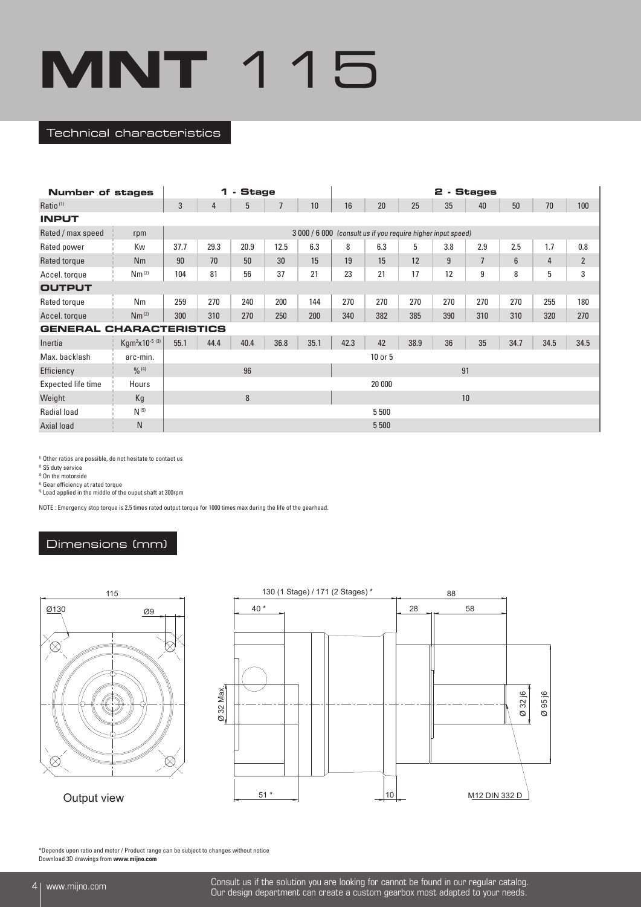#### Technical characteristics

| <b>Number of stages</b>        |                                        | <b>Stage</b><br>1<br>$\blacksquare$<br>$\overline{7}$<br>3<br>5<br>10<br>4<br>3 000 / 6 000 (consult us if you require higher input speed)<br>37.7<br>29.3<br>20.9<br>12.5<br>6.3<br>15<br>90<br>70<br>50<br>30<br>37<br>21<br>81<br>56<br>104<br>259<br>270<br>240<br>200<br>144<br>270<br>250<br>200<br>300<br>310 |      |      |      |      | <b>. Stages</b><br>2 |         |      |     |                |                |                |                |
|--------------------------------|----------------------------------------|----------------------------------------------------------------------------------------------------------------------------------------------------------------------------------------------------------------------------------------------------------------------------------------------------------------------|------|------|------|------|----------------------|---------|------|-----|----------------|----------------|----------------|----------------|
| Ratio <sup>(1)</sup>           |                                        |                                                                                                                                                                                                                                                                                                                      |      |      |      |      | 16                   | 20      | 25   | 35  | 40             | 50             | 70             | 100            |
| <b>INPUT</b>                   |                                        |                                                                                                                                                                                                                                                                                                                      |      |      |      |      |                      |         |      |     |                |                |                |                |
| Rated / max speed              | rpm                                    |                                                                                                                                                                                                                                                                                                                      |      |      |      |      |                      |         |      |     |                |                |                |                |
| Rated power                    | Kw                                     |                                                                                                                                                                                                                                                                                                                      |      |      |      |      | 8                    | 6.3     | 5    | 3.8 | 2.9            | 2.5            | 1.7            | 0.8            |
| Rated torque                   | Nm                                     |                                                                                                                                                                                                                                                                                                                      |      |      |      |      | 19                   | 15      | 12   | 9   | $\overline{7}$ | $6\phantom{1}$ | $\overline{4}$ | $\overline{2}$ |
| Accel. torque                  | Nm <sup>(2)</sup>                      |                                                                                                                                                                                                                                                                                                                      |      |      |      |      | 23                   | 21      | 17   | 12  | 9              | 8              | 5              | 3              |
| <b>OUTPUT</b>                  |                                        |                                                                                                                                                                                                                                                                                                                      |      |      |      |      |                      |         |      |     |                |                |                |                |
| Rated torque                   | Nm                                     |                                                                                                                                                                                                                                                                                                                      |      |      |      |      | 270                  | 270     | 270  | 270 | 270            | 270            | 255            | 180            |
| Accel. torque                  | Nm <sup>(2)</sup>                      |                                                                                                                                                                                                                                                                                                                      |      |      |      |      | 340                  | 382     | 385  | 390 | 310            | 310            | 320            | 270            |
| <b>GENERAL CHARACTERISTICS</b> |                                        |                                                                                                                                                                                                                                                                                                                      |      |      |      |      |                      |         |      |     |                |                |                |                |
| Inertia                        | Kgm <sup>2</sup> x10 <sup>-5 (3)</sup> | 55.1                                                                                                                                                                                                                                                                                                                 | 44.4 | 40.4 | 36.8 | 35.1 | 42.3                 | 42      | 38.9 | 36  | 35             | 34.7           | 34.5           | 34.5           |
| Max. backlash                  | arc-min.                               |                                                                                                                                                                                                                                                                                                                      |      |      |      |      |                      | 10 or 5 |      |     |                |                |                |                |
| Efficiency                     | $\frac{0}{0}$ (4)                      |                                                                                                                                                                                                                                                                                                                      |      | 96   |      |      |                      |         |      | 91  |                |                |                |                |
| Expected life time             | Hours                                  |                                                                                                                                                                                                                                                                                                                      |      |      |      |      |                      | 20 000  |      |     |                |                |                |                |
| Weight                         | Kg                                     |                                                                                                                                                                                                                                                                                                                      |      | 8    |      |      |                      |         |      | 10  |                |                |                |                |
| <b>Radial load</b>             | $N^{(5)}$                              |                                                                                                                                                                                                                                                                                                                      |      |      |      |      |                      | 5 500   |      |     |                |                |                |                |
| Axial load                     | N                                      |                                                                                                                                                                                                                                                                                                                      |      |      |      |      |                      | 5 500   |      |     |                |                |                |                |

130 (1 Stage) / 171 (2 Stages) \*

1) Other ratios are possible, do not hesitate to contact us

2) S5 duty service

3) On the motorside

<sup>4)</sup> Gear efficiency at rated torque<br><sup>5)</sup> Load applied in the middle of the ouput shaft at 300rpm

NOTE : Emergency stop torque is 2.5 times rated output torque for 1000 times max during the life of the gearhead.

40 \*

# Dimensions (mm)



10 Ø 32 j6 Ø 95 j6 M12 DIN 332 D Ø 32 Max. 32 Max.

88

58

28

Output view  $\frac{1}{2}$  51  $\pm$ 

\*Depends upon ratio and motor / Product range can be subject to changes without notice Download 3D drawings from **www.mijno.com**

4 www.mijno.com Consult us if the solution you are looking for cannot be found in our regular catalog. Our design department can create a custom gearbox most adapted to your needs.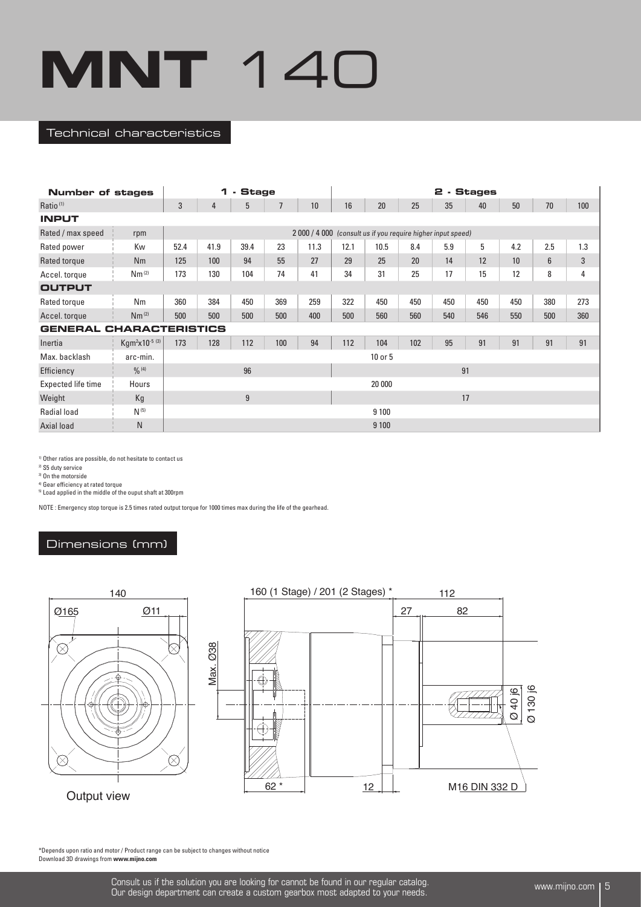#### Technical characteristics

| <b>Number of stages</b>        |                            |      | - Stage<br>1<br>$\overline{7}$<br>5<br>$\overline{4}$<br>10<br>41.9<br>39.4<br>23<br>11.3<br>55<br>27<br>94<br>100<br>130<br>104<br>74<br>41<br>384<br>369<br>450<br>259<br>500<br>500<br>400<br>500<br>112<br>100<br>94<br>128<br>96 |   |  |                                                            | - Stages<br>2 |         |     |     |     |     |     |     |
|--------------------------------|----------------------------|------|---------------------------------------------------------------------------------------------------------------------------------------------------------------------------------------------------------------------------------------|---|--|------------------------------------------------------------|---------------|---------|-----|-----|-----|-----|-----|-----|
| Ratio <sup>(1)</sup>           |                            | 3    |                                                                                                                                                                                                                                       |   |  |                                                            | 16            | 20      | 25  | 35  | 40  | 50  | 70  | 100 |
| <b>INPUT</b>                   |                            |      |                                                                                                                                                                                                                                       |   |  |                                                            |               |         |     |     |     |     |     |     |
| Rated / max speed              | rpm                        |      |                                                                                                                                                                                                                                       |   |  | 2000 / 4000 (consult us if you require higher input speed) |               |         |     |     |     |     |     |     |
| Rated power                    | Kw                         | 52.4 |                                                                                                                                                                                                                                       |   |  |                                                            | 12.1          | 10.5    | 8.4 | 5.9 | 5   | 4.2 | 2.5 | 1.3 |
| Rated torque                   | Nm                         | 125  |                                                                                                                                                                                                                                       |   |  |                                                            | 29            | 25      | 20  | 14  | 12  | 10  | 6   | 3   |
| Accel. torque                  | Nm <sup>(2)</sup>          | 173  |                                                                                                                                                                                                                                       |   |  |                                                            | 34            | 31      | 25  | 17  | 15  | 12  | 8   | 4   |
| <b>OUTPUT</b>                  |                            |      |                                                                                                                                                                                                                                       |   |  |                                                            |               |         |     |     |     |     |     |     |
| Rated torque                   | Nm                         | 360  |                                                                                                                                                                                                                                       |   |  |                                                            | 322           | 450     | 450 | 450 | 450 | 450 | 380 | 273 |
| Accel. torque                  | Nm <sup>(2)</sup>          | 500  |                                                                                                                                                                                                                                       |   |  |                                                            | 500           | 560     | 560 | 540 | 546 | 550 | 500 | 360 |
| <b>GENERAL CHARACTERISTICS</b> |                            |      |                                                                                                                                                                                                                                       |   |  |                                                            |               |         |     |     |     |     |     |     |
| Inertia                        | Kgm <sup>2</sup> x10-5 (3) | 173  |                                                                                                                                                                                                                                       |   |  |                                                            | 112           | 104     | 102 | 95  | 91  | 91  | 91  | 91  |
| Max. backlash                  | arc-min.                   |      |                                                                                                                                                                                                                                       |   |  |                                                            |               | 10 or 5 |     |     |     |     |     |     |
| Efficiency                     | $0/0$ (4)                  |      |                                                                                                                                                                                                                                       |   |  |                                                            |               |         |     | 91  |     |     |     |     |
| Expected life time             | Hours                      |      |                                                                                                                                                                                                                                       |   |  |                                                            |               | 20 000  |     |     |     |     |     |     |
| Weight                         | Kg                         |      |                                                                                                                                                                                                                                       | 9 |  |                                                            |               |         |     | 17  |     |     |     |     |
| Radial load                    | $N^{(5)}$                  |      |                                                                                                                                                                                                                                       |   |  |                                                            |               | 9 1 0 0 |     |     |     |     |     |     |
| Axial load                     | N                          |      |                                                                                                                                                                                                                                       |   |  |                                                            |               | 9 100   |     |     |     |     |     |     |

1) Other ratios are possible, do not hesitate to contact us

2) S5 duty service

3) On the motorside

4) Gear efficiency at rated torque

5) Load applied in the middle of the ouput shaft at 300rpm

NOTE : Emergency stop torque is 2.5 times rated output torque for 1000 times max during the life of the gearhead.

# Dimensions (mm)



\*Depends upon ratio and motor / Product range can be subject to changes without notice Download 3D drawings from **www.mijno.com**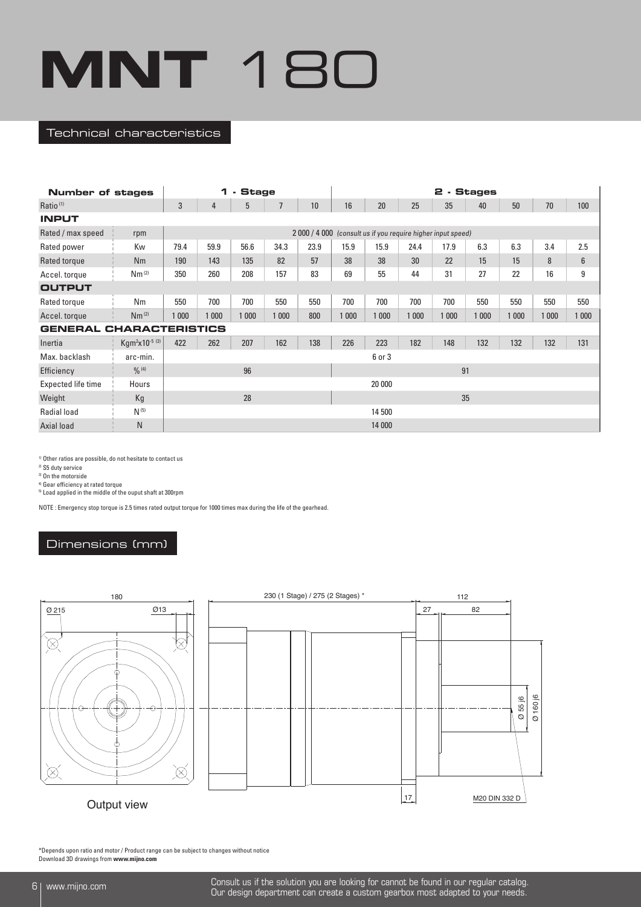#### Technical characteristics

| <b>Number of stages</b> |                            |         | - Stage<br>1<br>$\overline{1}$<br>5<br>10<br>4<br>59.9<br>56.6<br>34.3<br>23.9<br>82<br>57<br>143<br>135<br>157<br>83<br>260<br>208<br>700<br>700<br>550<br>550<br>1 0 0 0<br>1 0 0 0<br>800<br>1 000<br>207<br>162<br>262<br>138 |    |  |  | - Stages<br>2                                              |        |         |         |         |       |         |                |
|-------------------------|----------------------------|---------|-----------------------------------------------------------------------------------------------------------------------------------------------------------------------------------------------------------------------------------|----|--|--|------------------------------------------------------------|--------|---------|---------|---------|-------|---------|----------------|
| Ratio <sup>(1)</sup>    |                            | 3       |                                                                                                                                                                                                                                   |    |  |  | 16                                                         | 20     | 25      | 35      | 40      | 50    | 70      | 100            |
| <b>INPUT</b>            |                            |         |                                                                                                                                                                                                                                   |    |  |  |                                                            |        |         |         |         |       |         |                |
| Rated / max speed       | rpm                        |         |                                                                                                                                                                                                                                   |    |  |  | 2000 / 4000 (consult us if you require higher input speed) |        |         |         |         |       |         |                |
| Rated power             | Kw                         | 79.4    |                                                                                                                                                                                                                                   |    |  |  | 15.9                                                       | 15.9   | 24.4    | 17.9    | 6.3     | 6.3   | 3.4     | 2.5            |
| Rated torque            | Nm                         | 190     |                                                                                                                                                                                                                                   |    |  |  | 38                                                         | 38     | 30      | 22      | 15      | 15    | 8       | $6\phantom{1}$ |
| Accel. torque           | Nm <sup>(2)</sup>          | 350     |                                                                                                                                                                                                                                   |    |  |  | 69                                                         | 55     | 44      | 31      | 27      | 22    | 16      | 9              |
| <b>OUTPUT</b>           |                            |         |                                                                                                                                                                                                                                   |    |  |  |                                                            |        |         |         |         |       |         |                |
| Rated torque            | Nm                         | 550     |                                                                                                                                                                                                                                   |    |  |  | 700                                                        | 700    | 700     | 700     | 550     | 550   | 550     | 550            |
| Accel. torque           | Nm <sup>(2)</sup>          | 1 0 0 0 |                                                                                                                                                                                                                                   |    |  |  | 000                                                        | 1 000  | 1 0 0 0 | 1 0 0 0 | 1 0 0 0 | 1 000 | 1 0 0 0 | 1 000          |
| <b>GENERAL</b>          | <b>CHARACTERISTICS</b>     |         |                                                                                                                                                                                                                                   |    |  |  |                                                            |        |         |         |         |       |         |                |
| Inertia                 | Kgm <sup>2</sup> x10-5 (3) | 422     |                                                                                                                                                                                                                                   |    |  |  | 226                                                        | 223    | 182     | 148     | 132     | 132   | 132     | 131            |
| Max. backlash           | arc-min.                   |         |                                                                                                                                                                                                                                   |    |  |  |                                                            | 6 or 3 |         |         |         |       |         |                |
| Efficiency              | $0/0$ (4)                  |         |                                                                                                                                                                                                                                   | 96 |  |  |                                                            |        |         | 91      |         |       |         |                |
| Expected life time      | Hours                      |         |                                                                                                                                                                                                                                   |    |  |  |                                                            | 20 000 |         |         |         |       |         |                |
| Weight                  | Kg                         |         |                                                                                                                                                                                                                                   | 28 |  |  |                                                            |        |         | 35      |         |       |         |                |
| <b>Radial load</b>      | $N^{(5)}$                  |         |                                                                                                                                                                                                                                   |    |  |  |                                                            | 14 500 |         |         |         |       |         |                |
| Axial load              | N                          |         |                                                                                                                                                                                                                                   |    |  |  |                                                            | 14 000 |         |         |         |       |         |                |

1) Other ratios are possible, do not hesitate to contact us

2) S5 duty service

3) On the motorside

4) Gear efficiency at rated torque

5) Load applied in the middle of the ouput shaft at 300rpm

NOTE : Emergency stop torque is 2.5 times rated output torque for 1000 times max during the life of the gearhead.

# Dimensions (mm)



\*Depends upon ratio and motor / Product range can be subject to changes without notice Download 3D drawings from **www.mijno.com**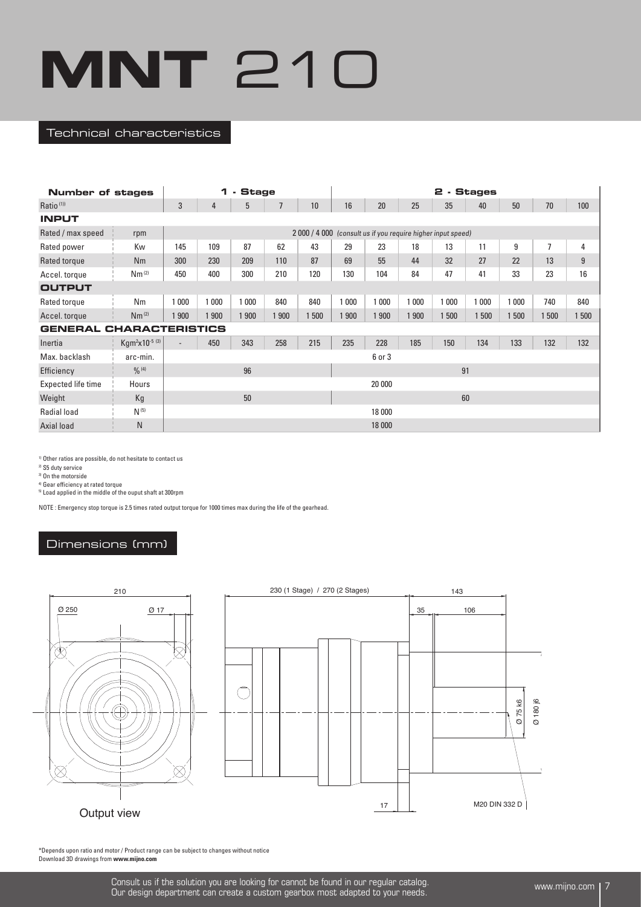#### Technical characteristics

| <b>Number of stages</b> |                            | <b>Stage</b><br>$\mathbf 1$<br>$\sim$<br>3<br>5<br>$\overline{1}$<br>10<br>$\overline{4}$<br>145<br>109<br>87<br>62<br>43<br>87<br>300<br>230<br>209<br>110<br>300<br>450<br>400<br>210<br>120<br>1 0 0 0<br>1 0 0 0<br>1 000<br>840<br>840<br>1 900<br>1 900<br>1 900<br>1 900<br>1 500<br><b>CHARACTERISTICS</b> |     |     |     |     | 2<br><b>. Stages</b>                                       |        |       |         |       |         |       |     |  |
|-------------------------|----------------------------|--------------------------------------------------------------------------------------------------------------------------------------------------------------------------------------------------------------------------------------------------------------------------------------------------------------------|-----|-----|-----|-----|------------------------------------------------------------|--------|-------|---------|-------|---------|-------|-----|--|
| Ratio <sup>(1))</sup>   |                            |                                                                                                                                                                                                                                                                                                                    |     |     |     |     | 16                                                         | 20     | 25    | 35      | 40    | 50      | 70    | 100 |  |
| <b>INPUT</b>            |                            |                                                                                                                                                                                                                                                                                                                    |     |     |     |     |                                                            |        |       |         |       |         |       |     |  |
| Rated / max speed       | rpm                        |                                                                                                                                                                                                                                                                                                                    |     |     |     |     | 2000 / 4000 (consult us if you require higher input speed) |        |       |         |       |         |       |     |  |
| Rated power             | Kw                         |                                                                                                                                                                                                                                                                                                                    |     |     |     |     | 29                                                         | 23     | 18    | 13      | 11    | 9       | 7     | 4   |  |
| Rated torque            | Nm                         |                                                                                                                                                                                                                                                                                                                    |     |     |     |     | 69                                                         | 55     | 44    | 32      | 27    | 22      | 13    | 9   |  |
| Accel. torque           | Nm <sup>(2)</sup>          |                                                                                                                                                                                                                                                                                                                    |     |     |     |     | 130                                                        | 104    | 84    | 47      | 41    | 33      | 23    | 16  |  |
| <b>OUTPUT</b>           |                            |                                                                                                                                                                                                                                                                                                                    |     |     |     |     |                                                            |        |       |         |       |         |       |     |  |
| Rated torque            | Nm                         |                                                                                                                                                                                                                                                                                                                    |     |     |     |     | 000                                                        | 1 000  | 1 000 | 1 0 0 0 | 1 000 | 1 0 0 0 | 740   | 840 |  |
| Accel. torque           | Nm <sup>(2)</sup>          |                                                                                                                                                                                                                                                                                                                    |     |     |     |     | 900                                                        | 1 900  | 1 900 | 1 500   | 1 500 | 1500    | 1 500 | 500 |  |
| <b>GENERAL</b>          |                            |                                                                                                                                                                                                                                                                                                                    |     |     |     |     |                                                            |        |       |         |       |         |       |     |  |
| Inertia                 | Kgm <sup>2</sup> x10-5 (3) |                                                                                                                                                                                                                                                                                                                    | 450 | 343 | 258 | 215 | 235                                                        | 228    | 185   | 150     | 134   | 133     | 132   | 132 |  |
| Max. backlash           | arc-min.                   |                                                                                                                                                                                                                                                                                                                    |     |     |     |     |                                                            | 6 or 3 |       |         |       |         |       |     |  |
| Efficiency              | $0/0$ (4)                  |                                                                                                                                                                                                                                                                                                                    |     | 96  |     |     |                                                            |        |       | 91      |       |         |       |     |  |
| Expected life time      | Hours                      |                                                                                                                                                                                                                                                                                                                    |     |     |     |     |                                                            | 20 000 |       |         |       |         |       |     |  |
| Weight                  | Kg                         |                                                                                                                                                                                                                                                                                                                    |     | 50  |     |     |                                                            |        |       | 60      |       |         |       |     |  |
| <b>Radial load</b>      | $N^{(5)}$                  |                                                                                                                                                                                                                                                                                                                    |     |     |     |     |                                                            | 18 000 |       |         |       |         |       |     |  |
| Axial load              | N                          |                                                                                                                                                                                                                                                                                                                    |     |     |     |     |                                                            | 18 000 |       |         |       |         |       |     |  |

1) Other ratios are possible, do not hesitate to contact us

2) S5 duty service

3) On the motorside

4) Gear efficiency at rated torque

5) Load applied in the middle of the ouput shaft at 300rpm

NOTE : Emergency stop torque is 2.5 times rated output torque for 1000 times max during the life of the gearhead.

# Dimensions (mm)



\*Depends upon ratio and motor / Product range can be subject to changes without notice Download 3D drawings from **www.mijno.com**